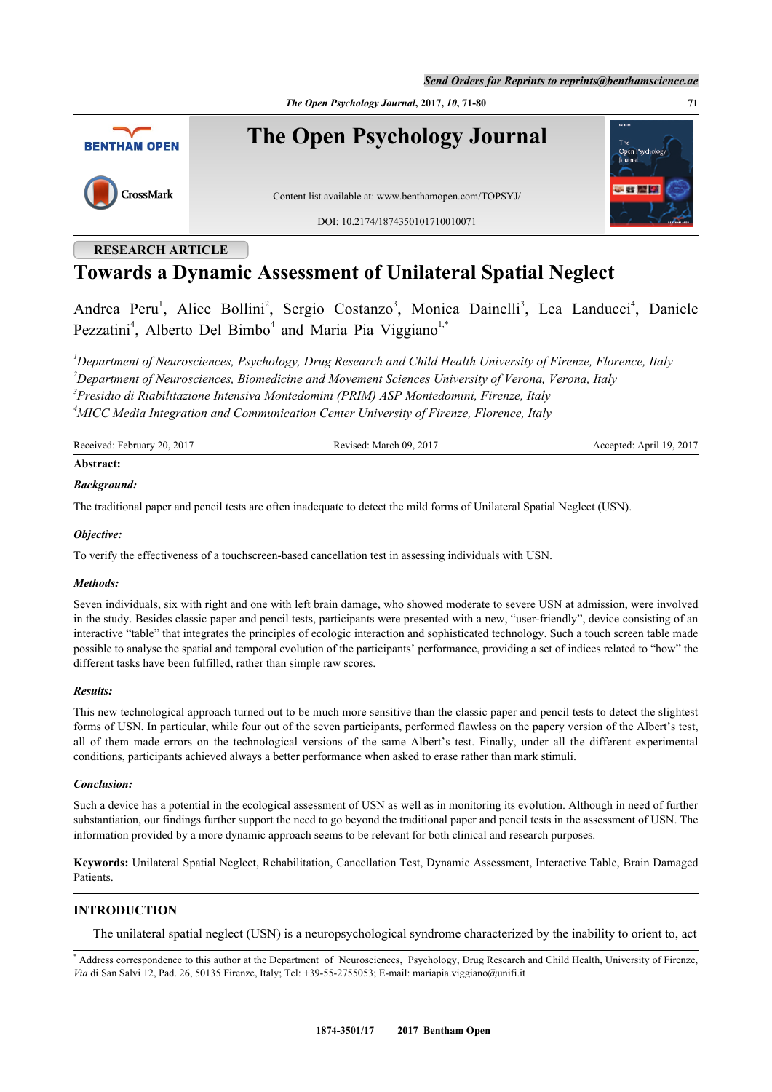*Send Orders for Reprints to reprints@benthamscience.ae*

*The Open Psychology Journal***, 2017,** *10***, 71-80 71**



**The Open Psychology Journal**

CrossMark

Content list available at: [www.benthamopen.com/TOPSYJ/](http://www.benthamopen.com/TOPSYJ/)

DOI: [10.2174/1874350101710010071](http://dx.doi.org/10.2174/1874350101710010071)

# **RESEARCH ARTICLE**

# **Towards a Dynamic Assessment of Unilateral Spatial Neglect**

Andrea Peru<sup>[1](#page-0-0)</sup>, Alice Bollini<sup>[2](#page-0-1)</sup>, Sergio Costanzo<sup>[3](#page-0-2)</sup>, Monica Dainelli<sup>3</sup>, Lea Landucci<sup>[4](#page-0-3)</sup>, Daniele Pezzatini<sup>[4](#page-0-3)</sup>, Alberto Del Bimbo<sup>4</sup> and Maria Pia Viggiano<sup>[1](#page-0-0),[\\*](#page-0-4)</sup>

<span id="page-0-2"></span><span id="page-0-1"></span><span id="page-0-0"></span>*Department of Neurosciences, Psychology, Drug Research and Child Health University of Firenze, Florence, Italy Department of Neurosciences, Biomedicine and Movement Sciences University of Verona, Verona, Italy Presidio di Riabilitazione Intensiva Montedomini (PRIM) ASP Montedomini, Firenze, Italy MICC Media Integration and Communication Center University of Firenze, Florence, Italy*

<span id="page-0-3"></span>Received: February 20, 2017 Revised: March 09, 2017 Accepted: April 19, 2017

# **Abstract:**

### *Background:*

The traditional paper and pencil tests are often inadequate to detect the mild forms of Unilateral Spatial Neglect (USN).

### *Objective:*

To verify the effectiveness of a touchscreen-based cancellation test in assessing individuals with USN.

### *Methods:*

Seven individuals, six with right and one with left brain damage, who showed moderate to severe USN at admission, were involved in the study. Besides classic paper and pencil tests, participants were presented with a new, "user-friendly", device consisting of an interactive "table" that integrates the principles of ecologic interaction and sophisticated technology. Such a touch screen table made possible to analyse the spatial and temporal evolution of the participants' performance, providing a set of indices related to "how" the different tasks have been fulfilled, rather than simple raw scores.

### *Results:*

This new technological approach turned out to be much more sensitive than the classic paper and pencil tests to detect the slightest forms of USN. In particular, while four out of the seven participants, performed flawless on the papery version of the Albert's test, all of them made errors on the technological versions of the same Albert's test. Finally, under all the different experimental conditions, participants achieved always a better performance when asked to erase rather than mark stimuli.

### *Conclusion:*

Such a device has a potential in the ecological assessment of USN as well as in monitoring its evolution. Although in need of further substantiation, our findings further support the need to go beyond the traditional paper and pencil tests in the assessment of USN. The information provided by a more dynamic approach seems to be relevant for both clinical and research purposes.

**Keywords:** Unilateral Spatial Neglect, Rehabilitation, Cancellation Test, Dynamic Assessment, Interactive Table, Brain Damaged Patients.

# **INTRODUCTION**

The unilateral spatial neglect (USN) is a neuropsychological syndrome characterized by the inability to orient to, act

<span id="page-0-4"></span><sup>\*</sup> Address correspondence to this author at the Department of Neurosciences, Psychology, Drug Research and Child Health, University of Firenze, *Via* di San Salvi 12, Pad. 26, 50135 Firenze, Italy; Tel: +39-55-2755053; E-mail: [mariapia.viggiano@unifi.it](mailto:mariapia.viggiano@unifi.it)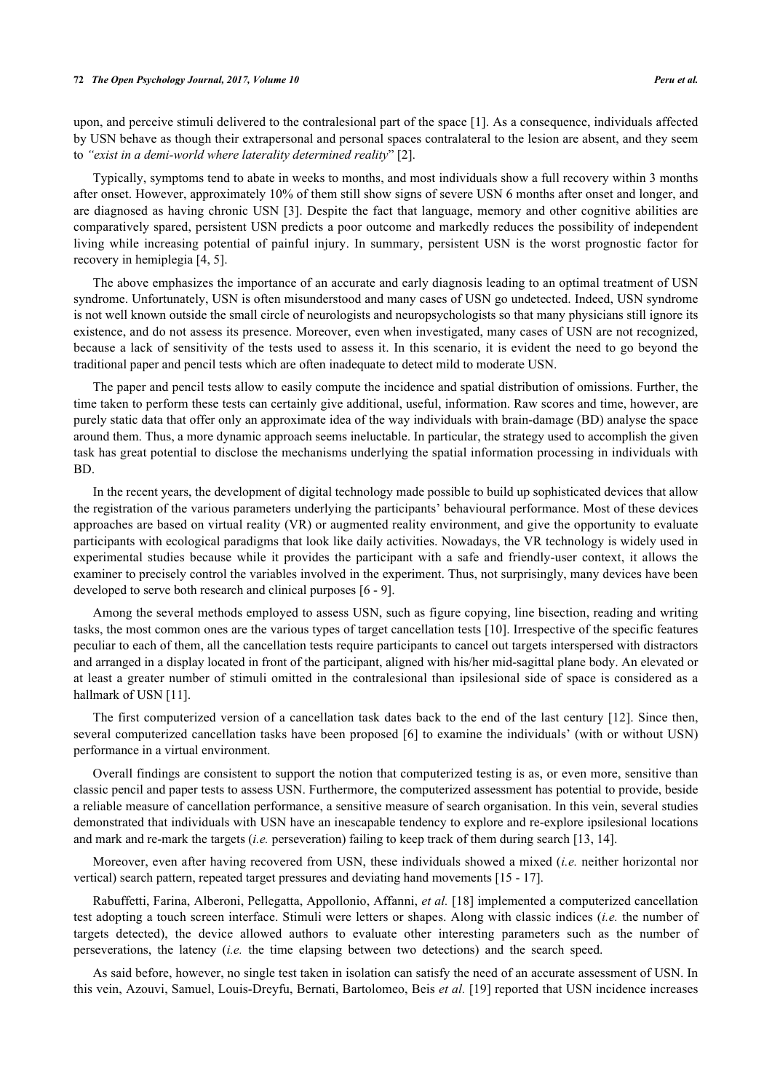upon, and perceive stimuli delivered to the contralesional part of the space [\[1](#page-8-0)]. As a consequence, individuals affected by USN behave as though their extrapersonal and personal spaces contralateral to the lesion are absent, and they seem to *"exist in a demi-world where laterality determined reality*" [[2\]](#page-8-1).

Typically, symptoms tend to abate in weeks to months, and most individuals show a full recovery within 3 months after onset. However, approximately 10% of them still show signs of severe USN 6 months after onset and longer, and are diagnosed as having chronic USN [\[3](#page-8-2)]. Despite the fact that language, memory and other cognitive abilities are comparatively spared, persistent USN predicts a poor outcome and markedly reduces the possibility of independent living while increasing potential of painful injury. In summary, persistent USN is the worst prognostic factor for recovery in hemiplegia [[4,](#page-8-3) [5\]](#page-8-4).

The above emphasizes the importance of an accurate and early diagnosis leading to an optimal treatment of USN syndrome. Unfortunately, USN is often misunderstood and many cases of USN go undetected. Indeed, USN syndrome is not well known outside the small circle of neurologists and neuropsychologists so that many physicians still ignore its existence, and do not assess its presence. Moreover, even when investigated, many cases of USN are not recognized, because a lack of sensitivity of the tests used to assess it. In this scenario, it is evident the need to go beyond the traditional paper and pencil tests which are often inadequate to detect mild to moderate USN.

The paper and pencil tests allow to easily compute the incidence and spatial distribution of omissions. Further, the time taken to perform these tests can certainly give additional, useful, information. Raw scores and time, however, are purely static data that offer only an approximate idea of the way individuals with brain-damage (BD) analyse the space around them. Thus, a more dynamic approach seems ineluctable. In particular, the strategy used to accomplish the given task has great potential to disclose the mechanisms underlying the spatial information processing in individuals with BD.

In the recent years, the development of digital technology made possible to build up sophisticated devices that allow the registration of the various parameters underlying the participants' behavioural performance. Most of these devices approaches are based on virtual reality (VR) or augmented reality environment, and give the opportunity to evaluate participants with ecological paradigms that look like daily activities. Nowadays, the VR technology is widely used in experimental studies because while it provides the participant with a safe and friendly-user context, it allows the examiner to precisely control the variables involved in the experiment. Thus, not surprisingly, many devices have been developed to serve both research and clinical purposes [[6](#page-8-5) - [9\]](#page-8-6).

Among the several methods employed to assess USN, such as figure copying, line bisection, reading and writing tasks, the most common ones are the various types of target cancellation tests [\[10](#page-8-7)]. Irrespective of the specific features peculiar to each of them, all the cancellation tests require participants to cancel out targets interspersed with distractors and arranged in a display located in front of the participant, aligned with his/her mid-sagittal plane body. An elevated or at least a greater number of stimuli omitted in the contralesional than ipsilesional side of space is considered as a hallmark of USN [\[11](#page-8-8)].

The first computerized version of a cancellation task dates back to the end of the last century [[12\]](#page-8-9). Since then, several computerized cancellation tasks have been proposed [\[6](#page-8-5)] to examine the individuals' (with or without USN) performance in a virtual environment.

Overall findings are consistent to support the notion that computerized testing is as, or even more, sensitive than classic pencil and paper tests to assess USN. Furthermore, the computerized assessment has potential to provide, beside a reliable measure of cancellation performance, a sensitive measure of search organisation. In this vein, several studies demonstrated that individuals with USN have an inescapable tendency to explore and re-explore ipsilesional locations and mark and re-mark the targets (*i.e.* perseveration) failing to keep track of them during search [\[13](#page-8-10), [14](#page-8-11)].

Moreover, even after having recovered from USN, these individuals showed a mixed (*i.e.* neither horizontal nor vertical) search pattern, repeated target pressures and deviating hand movements [\[15](#page-8-12) - [17\]](#page-8-13).

Rabuffetti, Farina, Alberoni, Pellegatta, Appollonio, Affanni, *et al.* [[18](#page-8-14)] implemented a computerized cancellation test adopting a touch screen interface. Stimuli were letters or shapes. Along with classic indices (*i.e.* the number of targets detected), the device allowed authors to evaluate other interesting parameters such as the number of perseverations, the latency (*i.e.* the time elapsing between two detections) and the search speed.

As said before, however, no single test taken in isolation can satisfy the need of an accurate assessment of USN. In this vein, Azouvi, Samuel, Louis-Dreyfu, Bernati, Bartolomeo, Beis *et al.* [\[19\]](#page-8-15) reported that USN incidence increases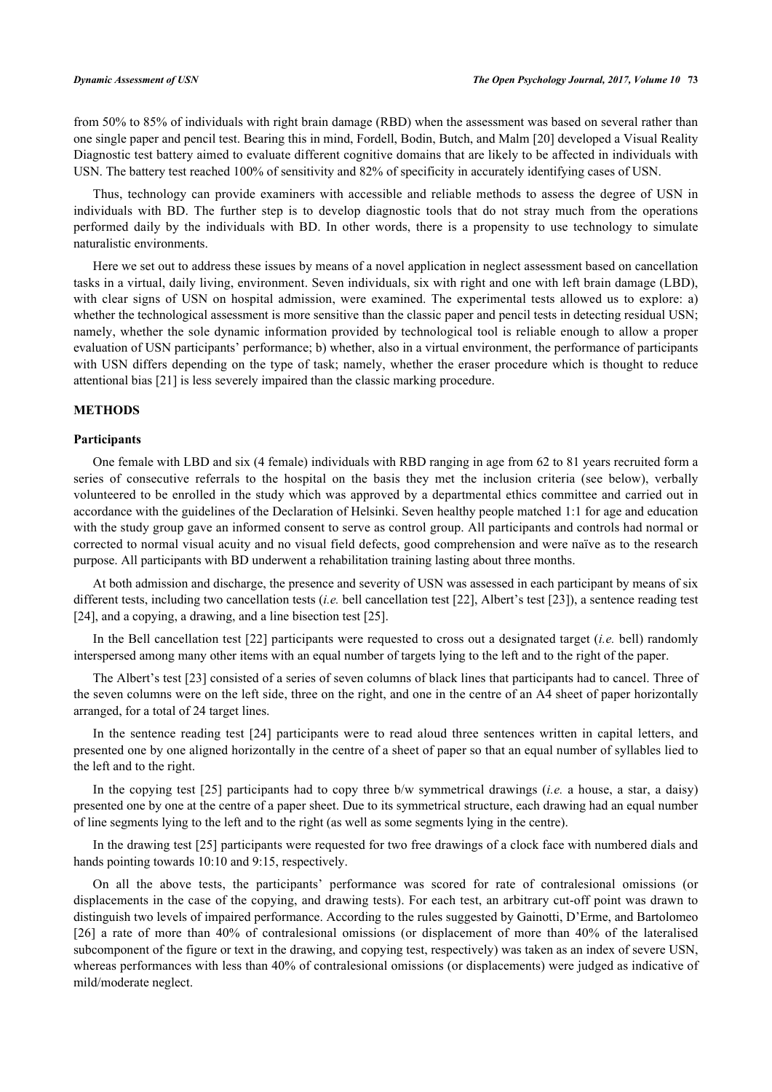from 50% to 85% of individuals with right brain damage (RBD) when the assessment was based on several rather than one single paper and pencil test. Bearing this in mind, Fordell, Bodin, Butch, and Malm [\[20](#page-9-0)] developed a Visual Reality Diagnostic test battery aimed to evaluate different cognitive domains that are likely to be affected in individuals with USN. The battery test reached 100% of sensitivity and 82% of specificity in accurately identifying cases of USN.

Thus, technology can provide examiners with accessible and reliable methods to assess the degree of USN in individuals with BD. The further step is to develop diagnostic tools that do not stray much from the operations performed daily by the individuals with BD. In other words, there is a propensity to use technology to simulate naturalistic environments.

Here we set out to address these issues by means of a novel application in neglect assessment based on cancellation tasks in a virtual, daily living, environment. Seven individuals, six with right and one with left brain damage (LBD), with clear signs of USN on hospital admission, were examined. The experimental tests allowed us to explore: a) whether the technological assessment is more sensitive than the classic paper and pencil tests in detecting residual USN; namely, whether the sole dynamic information provided by technological tool is reliable enough to allow a proper evaluation of USN participants' performance; b) whether, also in a virtual environment, the performance of participants with USN differs depending on the type of task; namely, whether the eraser procedure which is thought to reduce attentional bias [\[21](#page-9-1)] is less severely impaired than the classic marking procedure.

### **METHODS**

### **Participants**

One female with LBD and six (4 female) individuals with RBD ranging in age from 62 to 81 years recruited form a series of consecutive referrals to the hospital on the basis they met the inclusion criteria (see below), verbally volunteered to be enrolled in the study which was approved by a departmental ethics committee and carried out in accordance with the guidelines of the Declaration of Helsinki. Seven healthy people matched 1:1 for age and education with the study group gave an informed consent to serve as control group. All participants and controls had normal or corrected to normal visual acuity and no visual field defects, good comprehension and were naïve as to the research purpose. All participants with BD underwent a rehabilitation training lasting about three months.

At both admission and discharge, the presence and severity of USN was assessed in each participant by means of six different tests, including two cancellation tests (*i.e.* bell cancellation test [[22\]](#page-9-2), Albert's test [\[23](#page-9-3)]), a sentence reading test [\[24](#page-9-4)], and a copying, a drawing, and a line bisection test [[25\]](#page-9-5).

In the Bell cancellation test [[22\]](#page-9-2) participants were requested to cross out a designated target (*i.e.* bell) randomly interspersed among many other items with an equal number of targets lying to the left and to the right of the paper.

The Albert's test [[23](#page-9-3)] consisted of a series of seven columns of black lines that participants had to cancel. Three of the seven columns were on the left side, three on the right, and one in the centre of an A4 sheet of paper horizontally arranged, for a total of 24 target lines.

In the sentence reading test[[24](#page-9-4)] participants were to read aloud three sentences written in capital letters, and presented one by one aligned horizontally in the centre of a sheet of paper so that an equal number of syllables lied to the left and to the right.

In the copying test [[25](#page-9-5)] participants had to copy three b/w symmetrical drawings (*i.e.* a house, a star, a daisy) presented one by one at the centre of a paper sheet. Due to its symmetrical structure, each drawing had an equal number of line segments lying to the left and to the right (as well as some segments lying in the centre).

In the drawing test [\[25](#page-9-5)] participants were requested for two free drawings of a clock face with numbered dials and hands pointing towards 10:10 and 9:15, respectively.

On all the above tests, the participants' performance was scored for rate of contralesional omissions (or displacements in the case of the copying, and drawing tests). For each test, an arbitrary cut-off point was drawn to distinguish two levels of impaired performance. According to the rules suggested by Gainotti, D'Erme, and Bartolomeo [\[26](#page-9-6)] a rate of more than 40% of contralesional omissions (or displacement of more than 40% of the lateralised subcomponent of the figure or text in the drawing, and copying test, respectively) was taken as an index of severe USN, whereas performances with less than 40% of contralesional omissions (or displacements) were judged as indicative of mild/moderate neglect.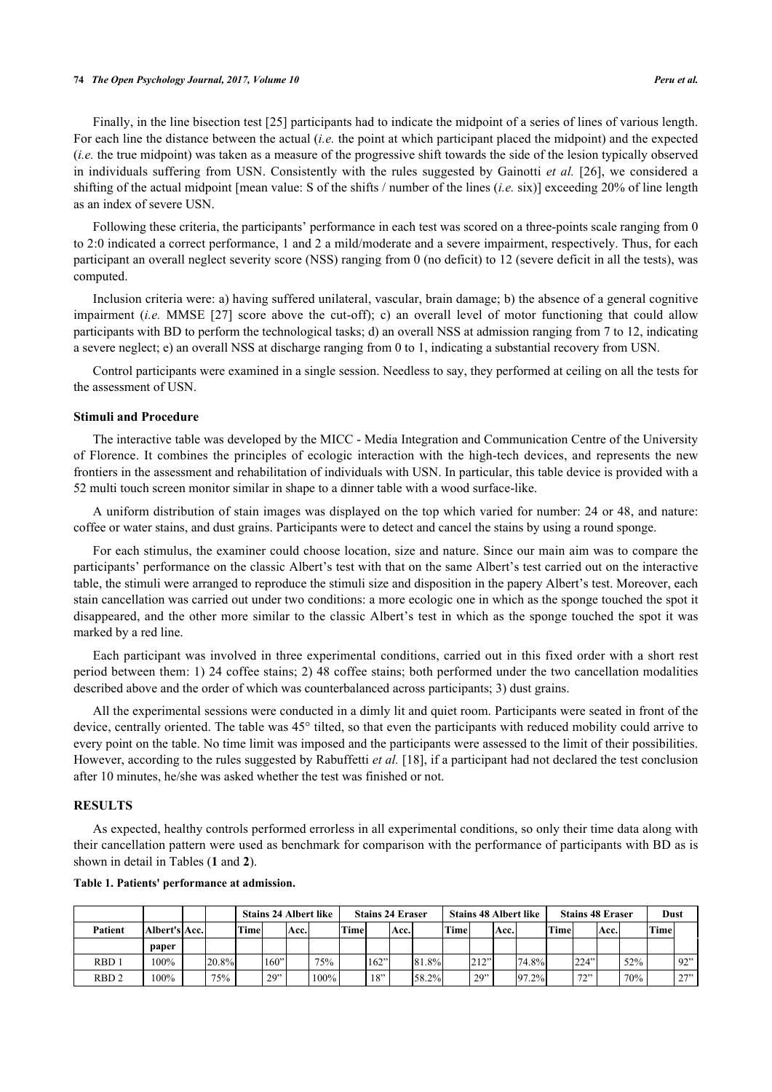### **74** *The Open Psychology Journal, 2017, Volume 10 Peru et al.*

Finally, in the line bisection test [\[25](#page-9-5)] participants had to indicate the midpoint of a series of lines of various length. For each line the distance between the actual (*i.e.* the point at which participant placed the midpoint) and the expected (*i.e.* the true midpoint) was taken as a measure of the progressive shift towards the side of the lesion typically observed in individuals suffering from USN. Consistently with the rules suggested by Gainotti *et al.* [\[26\]](#page-9-6), we considered a shifting of the actual midpoint [mean value: S of the shifts / number of the lines (*i.e.* six)] exceeding 20% of line length as an index of severe USN.

Following these criteria, the participants' performance in each test was scored on a three-points scale ranging from 0 to 2:0 indicated a correct performance, 1 and 2 a mild/moderate and a severe impairment, respectively. Thus, for each participant an overall neglect severity score (NSS) ranging from 0 (no deficit) to 12 (severe deficit in all the tests), was computed.

Inclusion criteria were: a) having suffered unilateral, vascular, brain damage; b) the absence of a general cognitive impairment (*i.e.* MMSE[[27](#page-9-7)] score above the cut-off); c) an overall level of motor functioning that could allow participants with BD to perform the technological tasks; d) an overall NSS at admission ranging from 7 to 12, indicating a severe neglect; e) an overall NSS at discharge ranging from 0 to 1, indicating a substantial recovery from USN.

Control participants were examined in a single session. Needless to say, they performed at ceiling on all the tests for the assessment of USN.

### **Stimuli and Procedure**

The interactive table was developed by the MICC - Media Integration and Communication Centre of the University of Florence. It combines the principles of ecologic interaction with the high-tech devices, and represents the new frontiers in the assessment and rehabilitation of individuals with USN. In particular, this table device is provided with a 52 multi touch screen monitor similar in shape to a dinner table with a wood surface-like.

A uniform distribution of stain images was displayed on the top which varied for number: 24 or 48, and nature: coffee or water stains, and dust grains. Participants were to detect and cancel the stains by using a round sponge.

For each stimulus, the examiner could choose location, size and nature. Since our main aim was to compare the participants' performance on the classic Albert's test with that on the same Albert's test carried out on the interactive table, the stimuli were arranged to reproduce the stimuli size and disposition in the papery Albert's test. Moreover, each stain cancellation was carried out under two conditions: a more ecologic one in which as the sponge touched the spot it disappeared, and the other more similar to the classic Albert's test in which as the sponge touched the spot it was marked by a red line.

Each participant was involved in three experimental conditions, carried out in this fixed order with a short rest period between them: 1) 24 coffee stains; 2) 48 coffee stains; both performed under the two cancellation modalities described above and the order of which was counterbalanced across participants; 3) dust grains.

All the experimental sessions were conducted in a dimly lit and quiet room. Participants were seated in front of the device, centrally oriented. The table was 45° tilted, so that even the participants with reduced mobility could arrive to every point on the table. No time limit was imposed and the participants were assessed to the limit of their possibilities. However, according to the rules suggested by Rabuffetti *et al.* [[18\]](#page-8-14), if a participant had not declared the test conclusion after 10 minutes, he/she was asked whether the test was finished or not.

### **RESULTS**

As expected, healthy controls performed errorless in all experimental conditions, so only their time data along with their cancellation pattern were used as benchmark for comparison with the performance of participants with BD as is shown in detail in Tables (**[1](#page-3-0)** and **[2](#page-4-0)**).

|                  |               |       | <b>Stains 24 Albert like</b> |      |      |      |       | <b>Stains 24 Eraser</b> |      |       |        |      |      | <b>Stains 48 Albert like</b> | <b>Stains 48 Eraser</b> |      |      |     | <b>Dust</b> |     |
|------------------|---------------|-------|------------------------------|------|------|------|-------|-------------------------|------|-------|--------|------|------|------------------------------|-------------------------|------|------|-----|-------------|-----|
| Patient          | Albert's Acc. |       | 'Time                        |      | Acc. |      | 'Time |                         | Acc. |       | 'Timer |      | Acc. |                              | 'Timer                  |      | Acc. |     | <b>Time</b> |     |
|                  | paper         |       |                              |      |      |      |       |                         |      |       |        |      |      |                              |                         |      |      |     |             |     |
| RBD <sub>1</sub> | 100%          | 20.8% |                              | 160" |      | 75%  |       | 162"                    |      | 81.8% |        | 212" |      | 74.8%                        |                         | 224" |      | 52% |             | 92" |
| RBD <sub>2</sub> | 100%          | 75%   |                              | 29"  |      | 100% |       | 18"                     |      | 58.2% |        | 29"  |      | 97.2%                        |                         | 72"  |      | 70% |             | 27" |

### <span id="page-3-0"></span>**Table 1. Patients' performance at admission.**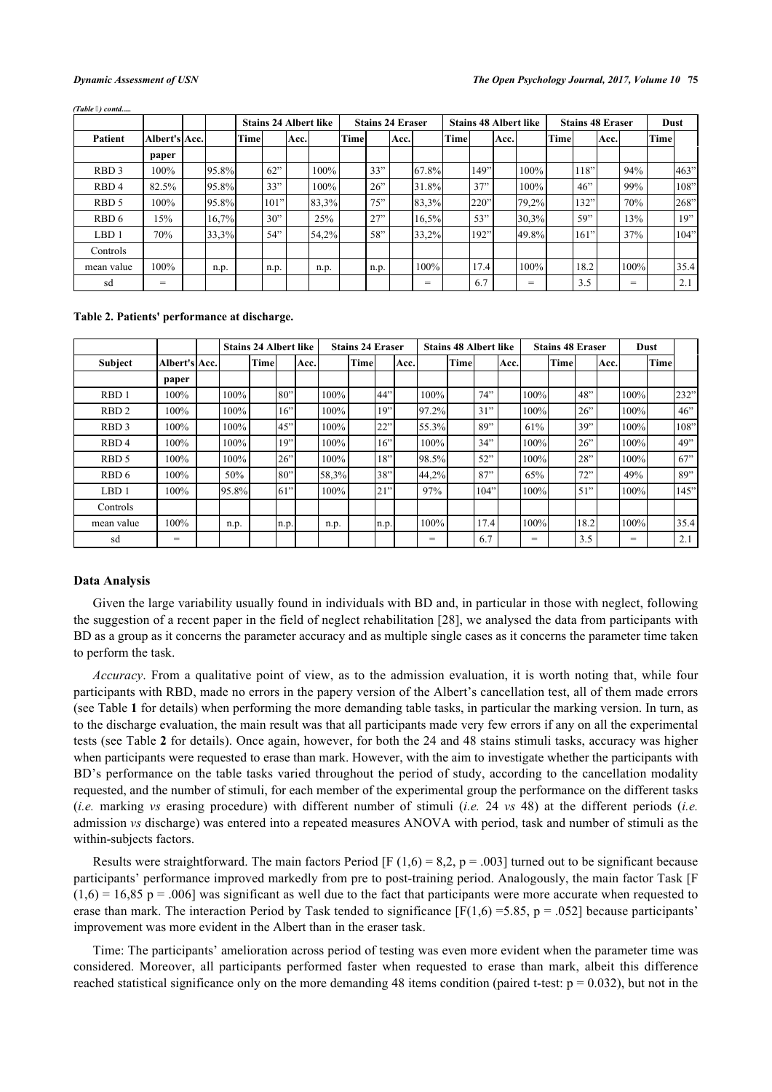|                  |               |       | <b>Stains 24 Albert like</b> |      |      |       |             |      | <b>Stains 24 Eraser</b> |       |      |      |      | <b>Stains 48 Albert like</b> |      | <b>Stains 48 Eraser</b> | <b>Dust</b> |      |      |      |
|------------------|---------------|-------|------------------------------|------|------|-------|-------------|------|-------------------------|-------|------|------|------|------------------------------|------|-------------------------|-------------|------|------|------|
| <b>Patient</b>   | Albert's Acc. |       | Time                         |      | Acc. |       | <b>Time</b> |      | Acc.                    |       | Time |      | Acc. |                              | Time |                         | Acc.        |      | Time |      |
|                  | paper         |       |                              |      |      |       |             |      |                         |       |      |      |      |                              |      |                         |             |      |      |      |
| RBD <sub>3</sub> | 100%          | 95.8% |                              | 62"  |      | 100%  |             | 33"  |                         | 67.8% |      | 149" |      | 100%                         |      | 118"                    |             | 94%  |      | 463" |
| RBD <sub>4</sub> | 82.5%         | 95.8% |                              | 33"  |      | 100%  |             | 26"  |                         | 31.8% |      | 37"  |      | 100%                         |      | 46"                     |             | 99%  |      | 108" |
| RBD <sub>5</sub> | $100\%$       | 95.8% |                              | 101" |      | 83,3% |             | 75"  |                         | 83,3% |      | 220" |      | 79,2%                        |      | 132"                    |             | 70%  |      | 268" |
| RBD 6            | 15%           | 16,7% |                              | 30"  |      | 25%   |             | 27"  |                         | 16,5% |      | 53"  |      | 30,3%                        |      | 59"                     |             | 13%  |      | 19"  |
| LBD <sub>1</sub> | 70%           | 33,3% |                              | 54"  |      | 54,2% |             | 58"  |                         | 33,2% |      | 192" |      | 49.8%                        |      | 161"                    |             | 37%  |      | 104" |
| Controls         |               |       |                              |      |      |       |             |      |                         |       |      |      |      |                              |      |                         |             |      |      |      |
| mean value       | 100%          | n.p.  |                              | n.p. |      | n.p.  |             | n.p. |                         | 100%  |      | 17.4 |      | 100%                         |      | 18.2                    |             | 100% |      | 35.4 |
| sd               | $=$           |       |                              |      |      |       |             |      |                         | =     |      | 6.7  |      | =                            |      | 3.5                     |             | =    |      | 2.1  |

*(Table ) contd.....*

### <span id="page-4-0"></span>**Table 2. Patients' performance at discharge.**

|                  |               | <b>Stains 24 Albert like</b> |      |       |      |         | <b>Stains 24 Eraser</b> |      |       |         | <b>Stains 48 Albert like</b> |      |      |      | <b>Stains 48 Eraser</b> |      |      |      | Dust |      |
|------------------|---------------|------------------------------|------|-------|------|---------|-------------------------|------|-------|---------|------------------------------|------|------|------|-------------------------|------|------|------|------|------|
| Subject          | Albert's Acc. |                              | Time |       | Acc. |         | Time                    |      | lAcc. |         | <b>Time</b>                  |      | Acc. |      | <b>Time</b>             |      | Acc. |      | Time |      |
|                  | paper         |                              |      |       |      |         |                         |      |       |         |                              |      |      |      |                         |      |      |      |      |      |
| RBD <sub>1</sub> | 100%          | 100%                         |      | 80"   |      | $100\%$ |                         | 44"  |       | 100%    |                              | 74"  |      | 100% |                         | 48"  |      | 100% |      | 232" |
| RBD <sub>2</sub> | 100%          | $100\%$                      |      | 16"   |      | $100\%$ |                         | 19"  |       | 97.2%   |                              | 31"  |      | 100% |                         | 26   |      | 100% |      | 46"  |
| RBD <sub>3</sub> | 100%          | 100%                         |      | 45"   |      | 100%    |                         | 22"  |       | 55.3%   |                              | 89"  |      | 61%  |                         | 39"  |      | 100% |      | 108" |
| RBD <sub>4</sub> | 100%          | 100%                         |      | 19"   |      | 100%    |                         | 16"  |       | $100\%$ |                              | 34"  |      | 100% |                         | 26"  |      | 100% |      | 49"  |
| RBD 5            | 100%          | 100%                         |      | 26"   |      | 100%    |                         | 18"  |       | 98.5%   |                              | 52"  |      | 100% |                         | 28"  |      | 100% |      | 67"  |
| RBD 6            | 100%          | 50%                          |      | 80"   |      | 58,3%   |                         | 38"  |       | 44,2%   |                              | 87"  |      | 65%  |                         | 72"  |      | 49%  |      | 89"  |
| LBD <sub>1</sub> | 100%          | 95.8%                        |      | [61"] |      | 100%    |                         | 21"  |       | 97%     |                              | 104" |      | 100% |                         | 51"  |      | 100% |      | 145" |
| Controls         |               |                              |      |       |      |         |                         |      |       |         |                              |      |      |      |                         |      |      |      |      |      |
| mean value       | 100%          | n.p.                         |      | n.p.  |      | n.p.    |                         | n.p. |       | 100%    |                              | 17.4 |      | 100% |                         | 18.2 |      | 100% |      | 35.4 |
| sd               | $=$           |                              |      |       |      |         |                         |      |       | $=$     |                              | 6.7  |      | =    |                         | 3.5  |      | $=$  |      | 2.1  |

### **Data Analysis**

Given the large variability usually found in individuals with BD and, in particular in those with neglect, following the suggestion of a recent paper in the field of neglect rehabilitation [[28](#page-9-8)], we analysed the data from participants with BD as a group as it concerns the parameter accuracy and as multiple single cases as it concerns the parameter time taken to perform the task.

*Accuracy*. From a qualitative point of view, as to the admission evaluation, it is worth noting that, while four participants with RBD, made no errors in the papery version of the Albert's cancellation test, all of them made errors (see Table **[1](#page-3-0)** for details) when performing the more demanding table tasks, in particular the marking version. In turn, as to the discharge evaluation, the main result was that all participants made very few errors if any on all the experimental tests (see Table **[2](#page-4-0)** for details). Once again, however, for both the 24 and 48 stains stimuli tasks, accuracy was higher when participants were requested to erase than mark. However, with the aim to investigate whether the participants with BD's performance on the table tasks varied throughout the period of study, according to the cancellation modality requested, and the number of stimuli, for each member of the experimental group the performance on the different tasks (*i.e.* marking *vs* erasing procedure) with different number of stimuli (*i.e.* 24 *vs* 48) at the different periods (*i.e.* admission *vs* discharge) was entered into a repeated measures ANOVA with period, task and number of stimuli as the within-subjects factors.

Results were straightforward. The main factors Period [F (1,6) = 8,2, p = .003] turned out to be significant because participants' performance improved markedly from pre to post-training period. Analogously, the main factor Task [F  $(1,6) = 16,85$  p = .006] was significant as well due to the fact that participants were more accurate when requested to erase than mark. The interaction Period by Task tended to significance  $[F(1,6) = 5.85, p = .052]$  because participants' improvement was more evident in the Albert than in the eraser task.

Time: The participants' amelioration across period of testing was even more evident when the parameter time was considered. Moreover, all participants performed faster when requested to erase than mark, albeit this difference reached statistical significance only on the more demanding 48 items condition (paired t-test:  $p = 0.032$ ), but not in the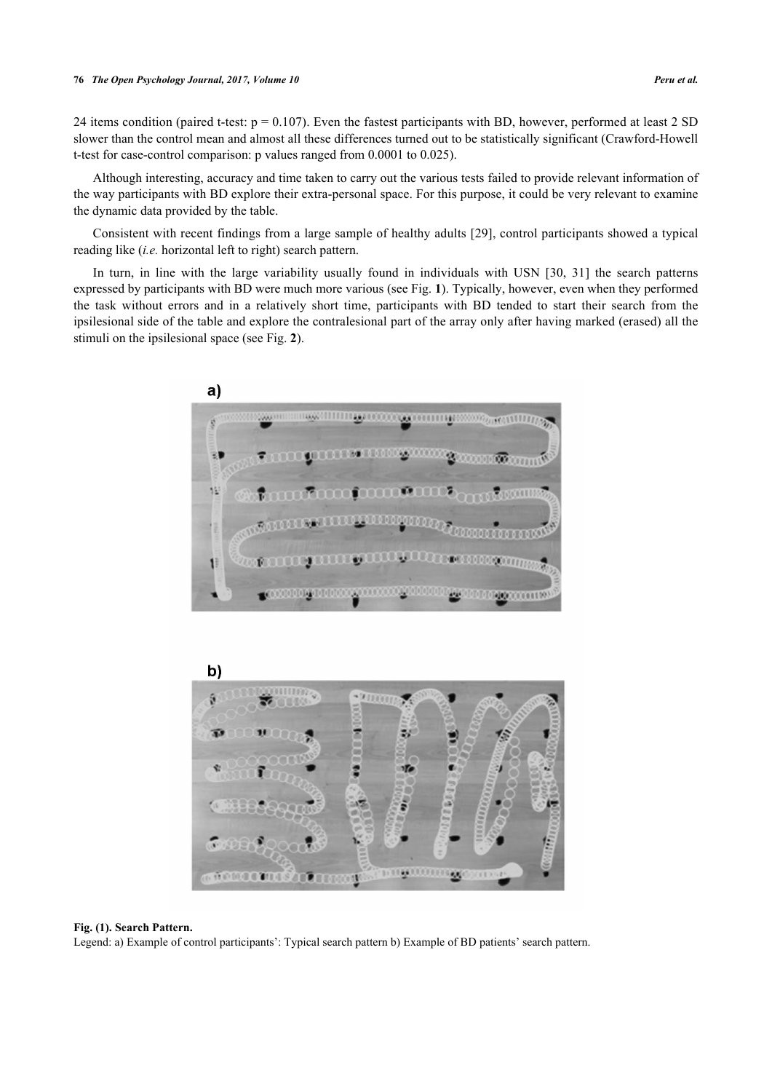24 items condition (paired t-test:  $p = 0.107$ ). Even the fastest participants with BD, however, performed at least 2 SD slower than the control mean and almost all these differences turned out to be statistically significant (Crawford-Howell t-test for case-control comparison: p values ranged from 0.0001 to 0.025).

Although interesting, accuracy and time taken to carry out the various tests failed to provide relevant information of the way participants with BD explore their extra-personal space. For this purpose, it could be very relevant to examine the dynamic data provided by the table.

Consistent with recent findings from a large sample of healthy adults [\[29\]](#page-9-9), control participants showed a typical reading like (*i.e.* horizontal left to right) search pattern.

<span id="page-5-0"></span>In turn, in line with the large variability usually found in individuals with USN [\[30](#page-9-10), [31](#page-9-11)] the search patterns expressed by participants with BD were much more various (see Fig. **[1](#page-5-0)**). Typically, however, even when they performed the task without errors and in a relatively short time, participants with BD tended to start their search from the ipsilesional side of the table and explore the contralesional part of the array only after having marked (erased) all the stimuli on the ipsilesional space (see Fig. **[2](#page-5-1)**).





### **Fig. (1). Search Pattern.**

<span id="page-5-1"></span>Legend: a) Example of control participants': Typical search pattern b) Example of BD patients' search pattern.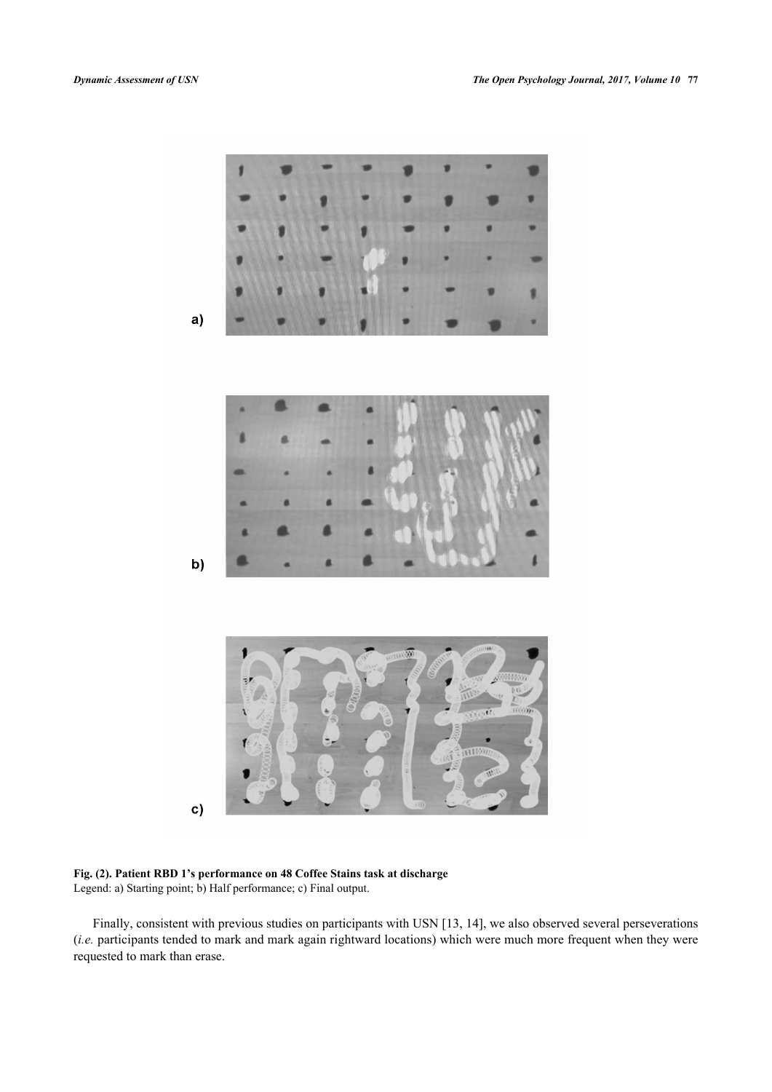

**Fig. (2). Patient RBD 1's performance on 48 Coffee Stains task at discharge** Legend: a) Starting point; b) Half performance; c) Final output.

Finally, consistent with previous studies on participants with USN [\[13](#page-8-10), [14](#page-8-11)], we also observed several perseverations (*i.e.* participants tended to mark and mark again rightward locations) which were much more frequent when they were requested to mark than erase.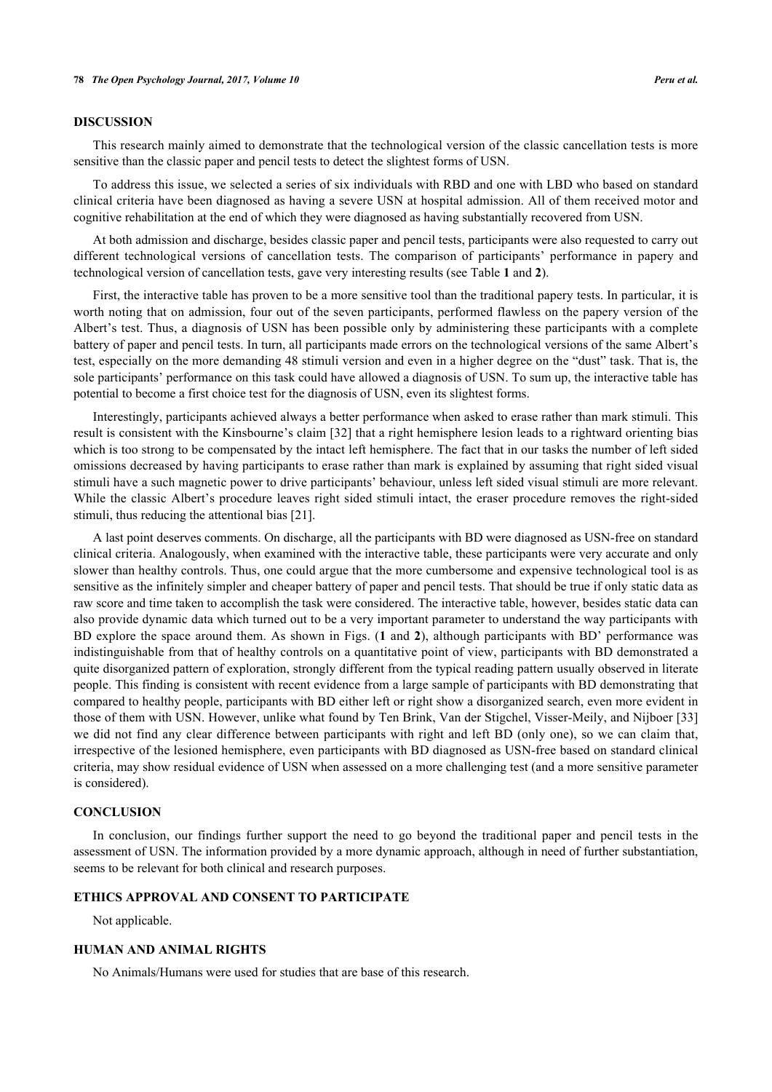### **DISCUSSION**

This research mainly aimed to demonstrate that the technological version of the classic cancellation tests is more sensitive than the classic paper and pencil tests to detect the slightest forms of USN.

To address this issue, we selected a series of six individuals with RBD and one with LBD who based on standard clinical criteria have been diagnosed as having a severe USN at hospital admission. All of them received motor and cognitive rehabilitation at the end of which they were diagnosed as having substantially recovered from USN.

At both admission and discharge, besides classic paper and pencil tests, participants were also requested to carry out different technological versions of cancellation tests. The comparison of participants' performance in papery and technological version of cancellation tests, gave very interesting results (see Table **[1](#page-3-0)** and **[2](#page-4-0)**).

First, the interactive table has proven to be a more sensitive tool than the traditional papery tests. In particular, it is worth noting that on admission, four out of the seven participants, performed flawless on the papery version of the Albert's test. Thus, a diagnosis of USN has been possible only by administering these participants with a complete battery of paper and pencil tests. In turn, all participants made errors on the technological versions of the same Albert's test, especially on the more demanding 48 stimuli version and even in a higher degree on the "dust" task. That is, the sole participants' performance on this task could have allowed a diagnosis of USN. To sum up, the interactive table has potential to become a first choice test for the diagnosis of USN, even its slightest forms.

Interestingly, participants achieved always a better performance when asked to erase rather than mark stimuli. This result is consistent with the Kinsbourne's claim [[32](#page-9-12)] that a right hemisphere lesion leads to a rightward orienting bias which is too strong to be compensated by the intact left hemisphere. The fact that in our tasks the number of left sided omissions decreased by having participants to erase rather than mark is explained by assuming that right sided visual stimuli have a such magnetic power to drive participants' behaviour, unless left sided visual stimuli are more relevant. While the classic Albert's procedure leaves right sided stimuli intact, the eraser procedure removes the right-sided stimuli, thus reducing the attentional bias [[21\]](#page-9-1).

A last point deserves comments. On discharge, all the participants with BD were diagnosed as USN-free on standard clinical criteria. Analogously, when examined with the interactive table, these participants were very accurate and only slower than healthy controls. Thus, one could argue that the more cumbersome and expensive technological tool is as sensitive as the infinitely simpler and cheaper battery of paper and pencil tests. That should be true if only static data as raw score and time taken to accomplish the task were considered. The interactive table, however, besides static data can also provide dynamic data which turned out to be a very important parameter to understand the way participants with BD explore the space around them. As shown in Figs. (**[1](#page-5-0)** and **[2](#page-5-1)**), although participants with BD' performance was indistinguishable from that of healthy controls on a quantitative point of view, participants with BD demonstrated a quite disorganized pattern of exploration, strongly different from the typical reading pattern usually observed in literate people. This finding is consistent with recent evidence from a large sample of participants with BD demonstrating that compared to healthy people, participants with BD either left or right show a disorganized search, even more evident in those of them with USN. However, unlike what found by Ten Brink, Van der Stigchel, Visser-Meily, and Nijboer [\[33](#page-9-13)] we did not find any clear difference between participants with right and left BD (only one), so we can claim that, irrespective of the lesioned hemisphere, even participants with BD diagnosed as USN-free based on standard clinical criteria, may show residual evidence of USN when assessed on a more challenging test (and a more sensitive parameter is considered).

### **CONCLUSION**

In conclusion, our findings further support the need to go beyond the traditional paper and pencil tests in the assessment of USN. The information provided by a more dynamic approach, although in need of further substantiation, seems to be relevant for both clinical and research purposes.

### **ETHICS APPROVAL AND CONSENT TO PARTICIPATE**

Not applicable.

### **HUMAN AND ANIMAL RIGHTS**

No Animals/Humans were used for studies that are base of this research.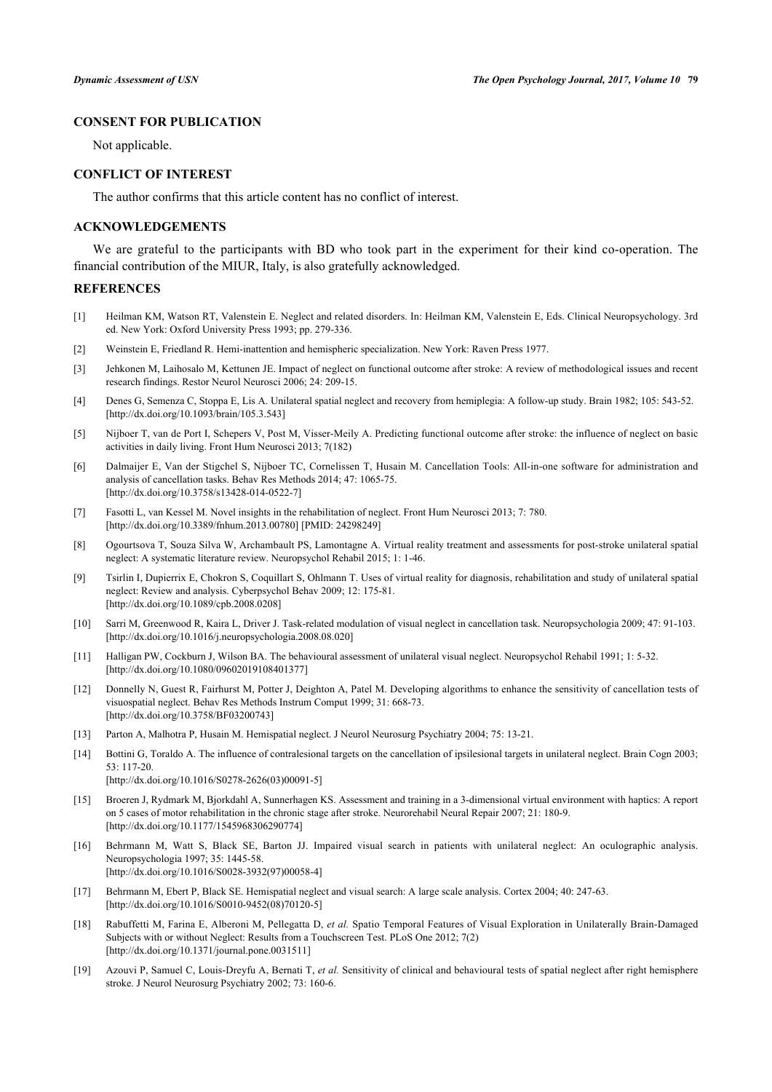## **CONSENT FOR PUBLICATION**

Not applicable.

### **CONFLICT OF INTEREST**

The author confirms that this article content has no conflict of interest.

### **ACKNOWLEDGEMENTS**

We are grateful to the participants with BD who took part in the experiment for their kind co-operation. The financial contribution of the MIUR, Italy, is also gratefully acknowledged.

### **REFERENCES**

- <span id="page-8-0"></span>[1] Heilman KM, Watson RT, Valenstein E. Neglect and related disorders. In: Heilman KM, Valenstein E, Eds. Clinical Neuropsychology. 3rd ed. New York: Oxford University Press 1993; pp. 279-336.
- <span id="page-8-1"></span>[2] Weinstein E, Friedland R. Hemi-inattention and hemispheric specialization. New York: Raven Press 1977.
- <span id="page-8-2"></span>[3] Jehkonen M, Laihosalo M, Kettunen JE. Impact of neglect on functional outcome after stroke: A review of methodological issues and recent research findings. Restor Neurol Neurosci 2006; 24: 209-15.
- <span id="page-8-3"></span>[4] Denes G, Semenza C, Stoppa E, Lis A. Unilateral spatial neglect and recovery from hemiplegia: A follow-up study. Brain 1982; 105: 543-52. [\[http://dx.doi.org/10.1093/brain/105.3.543](http://dx.doi.org/10.1093/brain/105.3.543)]
- <span id="page-8-4"></span>[5] Nijboer T, van de Port I, Schepers V, Post M, Visser-Meily A. Predicting functional outcome after stroke: the influence of neglect on basic activities in daily living. Front Hum Neurosci 2013; 7(182)
- <span id="page-8-5"></span>[6] Dalmaijer E, Van der Stigchel S, Nijboer TC, Cornelissen T, Husain M. Cancellation Tools: All-in-one software for administration and analysis of cancellation tasks. Behav Res Methods 2014; 47: 1065-75. [\[http://dx.doi.org/10.3758/s13428-014-0522-7\]](http://dx.doi.org/10.3758/s13428-014-0522-7)
- [7] Fasotti L, van Kessel M. Novel insights in the rehabilitation of neglect. Front Hum Neurosci 2013; 7: 780. [\[http://dx.doi.org/10.3389/fnhum.2013.00780\]](http://dx.doi.org/10.3389/fnhum.2013.00780) [PMID: [24298249](http://www.ncbi.nlm.nih.gov/pubmed/24298249)]
- [8] Ogourtsova T, Souza Silva W, Archambault PS, Lamontagne A. Virtual reality treatment and assessments for post-stroke unilateral spatial neglect: A systematic literature review. Neuropsychol Rehabil 2015; 1: 1-46.
- <span id="page-8-6"></span>[9] Tsirlin I, Dupierrix E, Chokron S, Coquillart S, Ohlmann T. Uses of virtual reality for diagnosis, rehabilitation and study of unilateral spatial neglect: Review and analysis. Cyberpsychol Behav 2009; 12: 175-81. [\[http://dx.doi.org/10.1089/cpb.2008.0208](http://dx.doi.org/10.1089/cpb.2008.0208)]
- <span id="page-8-7"></span>[10] Sarri M, Greenwood R, Kaira L, Driver J. Task-related modulation of visual neglect in cancellation task. Neuropsychologia 2009; 47: 91-103. [\[http://dx.doi.org/10.1016/j.neuropsychologia.2008.08.020\]](http://dx.doi.org/10.1016/j.neuropsychologia.2008.08.020)
- <span id="page-8-8"></span>[11] Halligan PW, Cockburn J, Wilson BA. The behavioural assessment of unilateral visual neglect. Neuropsychol Rehabil 1991; 1: 5-32. [\[http://dx.doi.org/10.1080/09602019108401377\]](http://dx.doi.org/10.1080/09602019108401377)
- <span id="page-8-9"></span>[12] Donnelly N, Guest R, Fairhurst M, Potter J, Deighton A, Patel M. Developing algorithms to enhance the sensitivity of cancellation tests of visuospatial neglect. Behav Res Methods Instrum Comput 1999; 31: 668-73. [\[http://dx.doi.org/10.3758/BF03200743\]](http://dx.doi.org/10.3758/BF03200743)
- <span id="page-8-10"></span>[13] Parton A, Malhotra P, Husain M. Hemispatial neglect. J Neurol Neurosurg Psychiatry 2004; 75: 13-21.
- <span id="page-8-11"></span>[14] Bottini G, Toraldo A. The influence of contralesional targets on the cancellation of ipsilesional targets in unilateral neglect. Brain Cogn 2003; 53: 117-20.
	- [\[http://dx.doi.org/10.1016/S0278-2626\(03\)00091-5\]](http://dx.doi.org/10.1016/S0278-2626(03)00091-5)
- <span id="page-8-12"></span>[15] Broeren J, Rydmark M, Bjorkdahl A, Sunnerhagen KS. Assessment and training in a 3-dimensional virtual environment with haptics: A report on 5 cases of motor rehabilitation in the chronic stage after stroke. Neurorehabil Neural Repair 2007; 21: 180-9. [\[http://dx.doi.org/10.1177/1545968306290774\]](http://dx.doi.org/10.1177/1545968306290774)
- [16] Behrmann M, Watt S, Black SE, Barton JJ. Impaired visual search in patients with unilateral neglect: An oculographic analysis. Neuropsychologia 1997; 35: 1445-58. [\[http://dx.doi.org/10.1016/S0028-3932\(97\)00058-4\]](http://dx.doi.org/10.1016/S0028-3932(97)00058-4)
- <span id="page-8-13"></span>[17] Behrmann M, Ebert P, Black SE. Hemispatial neglect and visual search: A large scale analysis. Cortex 2004; 40: 247-63. [\[http://dx.doi.org/10.1016/S0010-9452\(08\)70120-5\]](http://dx.doi.org/10.1016/S0010-9452(08)70120-5)
- <span id="page-8-14"></span>[18] Rabuffetti M, Farina E, Alberoni M, Pellegatta D, *et al.* Spatio Temporal Features of Visual Exploration in Unilaterally Brain-Damaged Subjects with or without Neglect: Results from a Touchscreen Test. PLoS One 2012; 7(2) [\[http://dx.doi.org/10.1371/journal.pone.0031511](http://dx.doi.org/10.1371/journal.pone.0031511)]
- <span id="page-8-15"></span>[19] Azouvi P, Samuel C, Louis-Dreyfu A, Bernati T, *et al.* Sensitivity of clinical and behavioural tests of spatial neglect after right hemisphere stroke. J Neurol Neurosurg Psychiatry 2002; 73: 160-6.